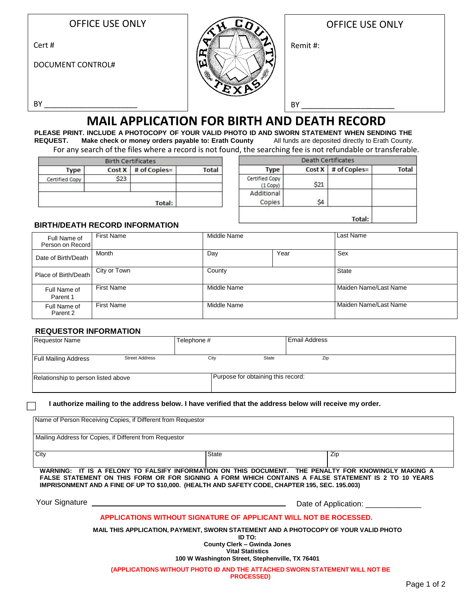|  |  | <b>OFFICE USE ONLY</b> |  |  |  |  |
|--|--|------------------------|--|--|--|--|
|  |  |                        |  |  |  |  |

Cert #

DOCUMENT CONTROL#



|          | <b>OFFICE USE ONLY</b> |
|----------|------------------------|
| Remit #: |                        |
|          |                        |

BY \_\_\_\_\_\_\_\_\_\_\_\_\_\_\_\_\_\_\_\_\_\_

Г

# **MAIL APPLICATION FOR BIRTH AND DEATH RECORD**

**PLEASE PRINT. INCLUDE A PHOTOCOPY OF YOUR VALID PHOTO ID AND SWORN STATEMENT WHEN SENDING THE REQUEST. Make check or money orders payable to: Erath County** All funds are deposited directly to Erath County. For any search of the files where a record is not found, the searching fee is not refundable or transferable.

**Rith Cortificator** 

| Type           |      | $Cost X$ # of Copies= | <b>Total</b> |
|----------------|------|-----------------------|--------------|
| Certified Copy | \$23 |                       |              |
|                |      | Total:                |              |

| <b>Death Certificates</b>  |        |              |              |  |  |
|----------------------------|--------|--------------|--------------|--|--|
| <b>Type</b>                | Cost X | # of Copies= | <b>Total</b> |  |  |
| Certified Copy<br>(1 Copy) | \$21   |              |              |  |  |
| Additional<br>Copies       | Ś4     |              |              |  |  |
|                            |        | Total:       |              |  |  |

 $BY$ 

### **BIRTH/DEATH RECORD INFORMATION**

| Full Name of<br>Person on Record | <b>First Name</b> | Middle Name |      | Last Name             |
|----------------------------------|-------------------|-------------|------|-----------------------|
| Date of Birth/Death              | Month             | Day         | Year | Sex                   |
| Place of Birth/Death             | City or Town      | County      |      | <b>State</b>          |
| Full Name of<br>Parent 1         | <b>First Name</b> | Middle Name |      | Maiden Name/Last Name |
| Full Name of<br>Parent 2         | <b>First Name</b> | Middle Name |      | Maiden Name/Last Name |

#### **REQUESTOR INFORMATION**

| <b>Requestor Name</b>               |                       | Telephone # |                                    | <b>Email Address</b> |  |
|-------------------------------------|-----------------------|-------------|------------------------------------|----------------------|--|
| <b>Full Mailing Address</b>         | <b>Street Address</b> | City        | State                              | Zip                  |  |
| Relationship to person listed above |                       |             | Purpose for obtaining this record: |                      |  |

**I authorize mailing to the address below. I have verified that the address below will receive my order.**

| Name of Person Receiving Copies, if Different from Requestor                                                                                                                                                                         |                                                                                                                            |                                                                                                                                                                                                             |
|--------------------------------------------------------------------------------------------------------------------------------------------------------------------------------------------------------------------------------------|----------------------------------------------------------------------------------------------------------------------------|-------------------------------------------------------------------------------------------------------------------------------------------------------------------------------------------------------------|
| Mailing Address for Copies, if Different from Requestor                                                                                                                                                                              |                                                                                                                            |                                                                                                                                                                                                             |
| City                                                                                                                                                                                                                                 | <b>State</b>                                                                                                               | Zip                                                                                                                                                                                                         |
| IMPRISONMENT AND A FINE OF UP TO \$10,000. (HEALTH AND SAFETY CODE, CHAPTER 195, SEC. 195.003)                                                                                                                                       |                                                                                                                            | WARNING: IT IS A FELONY TO FALSIFY INFORMATION ON THIS DOCUMENT. THE PENALTY FOR KNOWINGLY MAKING A<br>FALSE STATEMENT ON THIS FORM OR FOR SIGNING A FORM WHICH CONTAINS A FALSE STATEMENT IS 2 TO 10 YEARS |
| Your Signature <u>expression and the set of the set of the set of the set of the set of the set of the set of the set of the set of the set of the set of the set of the set of the set of the set of the set of the set of the </u> |                                                                                                                            | Date of Application:                                                                                                                                                                                        |
|                                                                                                                                                                                                                                      | APPLICATIONS WITHOUT SIGNATURE OF APPLICANT WILL NOT BE ROCESSED.                                                          |                                                                                                                                                                                                             |
|                                                                                                                                                                                                                                      | ID TO:<br><b>County Clerk - Gwinda Jones</b><br><b>Vital Statistics</b><br>100 W Washington Street, Stephenville, TX 76401 | MAIL THIS APPLICATION, PAYMENT, SWORN STATEMENT AND A PHOTOCOPY OF YOUR VALID PHOTO                                                                                                                         |
|                                                                                                                                                                                                                                      | (APPLICATIONS WITHOUT PHOTO ID AND THE ATTACHED SWORN STATEMENT WILL NOT BE<br><b>PROCESSED)</b>                           |                                                                                                                                                                                                             |
|                                                                                                                                                                                                                                      |                                                                                                                            | Page 1 of 2                                                                                                                                                                                                 |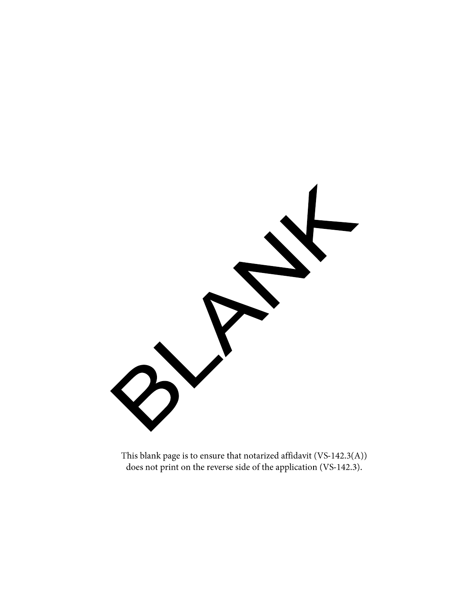

This blank page is to ensure that notarized affidavit (VS-142.3(A)) does not print on the reverse side of the application (VS-142.3).